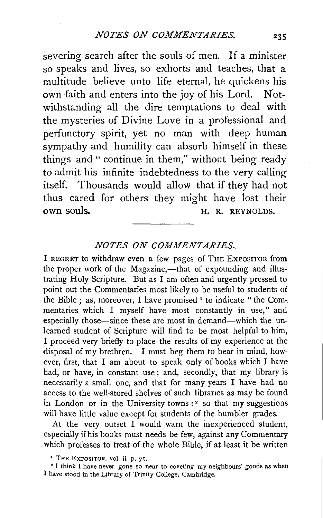severing search after the souls of men. If a minister so speaks and lives, so exhorts and teaches, that a multitude believe unto life eternal, he quickens his own faith and enters into the joy of his Lord. Notwithstanding all the dire temptations to deal with the mysteries of Divine Love in a professional and perfunctory spirit, yet no man with deep human sympathy and humility can absorb himself in these things and" continue in them," without being ready to admit his infinite indebtedness to the very calling itself. Thousands would allow that if they had not thus cared for others they might have lost their own souls. H. R. REYNOLDS.

## *NOTES ON COMMENTARIES.*

I REGRET to withdraw even a few pages of THE EXPOSITOR from the proper work of the Magazine,—that of expounding and illustrating Holy Scripture. But as I am often and urgently pressed to point out the Commentaries most likely to be useful to students of the Bible; as, moreover, I have promised <sup>1</sup> to indicate "the Commentaries which I myself have most constantly in use," and especially those—since these are most in demand—which the unlearned student of Scripture will find to be most helpful to him, I proceed very briefly to place the results of my experience at the disposal of my brethren. I must beg them to bear in mind, however, first, that I am about to speak only of books which I have had, or have, in constant use; and, secondly, that my library is necessarily a small one, and that for many years I have had no access to the well-stored shelves of such libranes as may be found in London or in the University towns:<sup>2</sup> so that my suggestions will have little value except for students of the humbler grades.

At the very outset I would warn the inexperienced student, especially if his books must needs be few, against any Commentary which professes to treat of the whole Bible, if at least it be written

<sup>&</sup>lt;sup>1</sup> THE EXPOSITOR, vol. ii. p. 71.<br><sup>2</sup> I think I have never gone so near to coveting my neighbours' goods as when I have stood in the Library of Trinity College, Cambridge.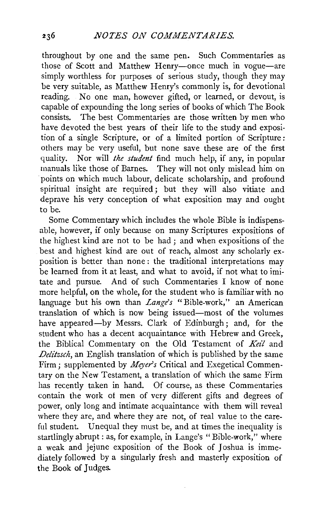throughout by one and the same pen. Such Commentaries as those of Scott and Matthew Henry-once much in vogue-are simply worthless for purposes of serious study, though they may be very suitable, as Matthew Henry's commonly is, for devotional reading. No one man, however gifted, or learned, or devout, is capable of expounding the long series of books of which The Book consists. The best Commentaries are those written by men who have devoted the best years of their life to the study and exposition of a single Scripture, or of a limited portion of Scripture: others may be very useful, but none save these are of the first quality. Nor will *the student* find much help, if any, in popular manuals like those of Barnes. They will not only mislead him on points on which much labour, delicate scholarship, and profound spiritual insight are required; but they will also vitiate and deprave his very conception of what exposition may and ought to be.

Some Commentary which includes the whole Bible is indispensable, however, if only because on many Scriptures expositions of the highest kind are not to be had ; and when expositions of the best and highest kind are out of reach, almost any scholarly exposition is better than none : the traditional interpretations may be learned from it at least, and what to avoid, if not what to imitate and pursue. And of such Commentaries I know of none more helpful, on the whole, for the student who is familiar with no language but his own than *Lange's* "Bible-work," an American translation of which is now being issued-most of the volumes have appeared-by Messrs. Clark of Edinburgh; and, for the student who has a decent acquaintance with Hebrew and Greek, the Biblical Commentary on the Old Testament of *Kei!* and *Delitzsch,* an English translation of which is published by the same Firm; supplemented by *Meyer's* Critical and Exegetical Commentary on the New Testament, a translation of which the same Firm has recently taken in hand. Of course, as these Commentaries contain the work of men of very different gifts and degrees of power, only long and intimate acquaintance with them will reveal where they are, and where they are not, of real value to the careful student. Unequal they must be, and at times the inequality is startlingly abrupt : as, for example, in Lange's "Bible-work," where a weak and jejune exposition of the Book of Joshua is immediately followed by a singularly fresh and masterly exposition of the Book of Judges.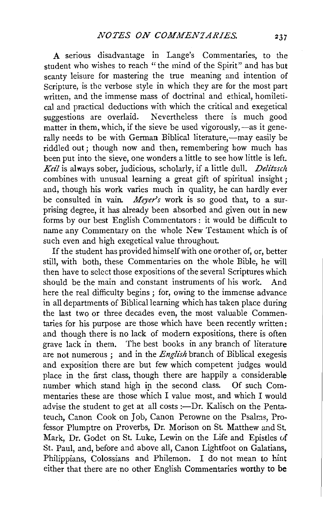A serious disadvantage in Lange's Commentaries, to the student who wishes to reach "the mind of the Spirit" and has but scanty leisure for mastering the true meaning and intention of Scripture, is the verbose style in which they are for the most part written, and the immense mass of doctrinal and ethical, homiletical and practical deductions with which the critical and exegetical suggestions are overlaid. Nevertheless there is much good matter in them, which, if the sieve be used vigorously,  $-\infty$  it generally needs to be with German Biblical literature.—may easily be riddled out; though now and then, remembering how much has been put into the sieve, one wonders a little to see how little is left. *Keil* is always sober, judicious, scholarly, if a little dull. *Delitzsch* combines with unusual learning a great gift of spiritual insight; and, though his work varies much in quality, he can hardly ever be consulted in vain. *Meyer's* work is so good that, to a surprising degree, it has already been absorbed and given out in new forms by our best English Commentators : it would be difficult to name any Commentary on the whole New Testament which is of such even and high exegetical value throughout.

If the student has provided himself with one or other of, or, better still, with both, these Commentaries on the whole Bible, he will then have to select those expositions of the several Scriptures which should be the main and constant instruments of his work. And here the real difficulty begins ; for, owing to the immense advance in all departments of Biblical learning which has taken place during the last two or three decades even, the most valuable Commentaries for his purpose are those which have been recently written: and though there is no lack of modern expositions, there is often grave lack in them. The best books in any branch of literature are not numerous ; and in the *English* branch of Biblical exegesis and exposition there are but few which competent judges would place in the first class, though there are happily a considerable number which stand high in the second class. Of such Commentaries these are those which I value most, and which I would advise the student to get at all costs :—Dr. Kalisch on the Pentateuch, Canon Cook on Job, Canon Perowne on the Psalms, Professor Plumptre on Proverbs, Dr. Morison on St. Matthew and St. Mark, Dr. Godet on St. Luke, Lewin on the Life and Epistles uf St. Paul, and, before and above all, Canon Lightfoot on Galatians, Philippians, Colossians and Philemon. I do not mean to hint either that there are no other English Commentaries worthy to be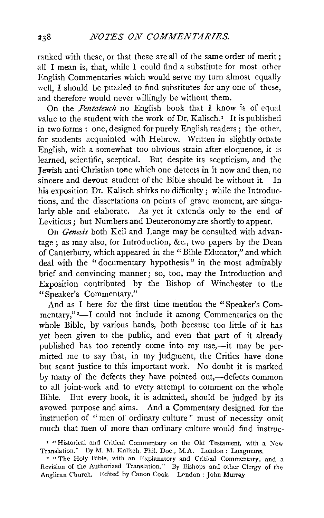ranked with these, or that these are all of the same order of merit; all I mean is, that, while I could find a substitute for most other English Commentaries which would serve my turn almost equally well. I should be puzzled to find substitutes for any one of these, and therefore would never willingly be without them.

On the *Pentateuch* no English book that I know is of equal value to the student with the work of Dr. Kalisch.<sup> $\tau$ </sup> It is published in two forms : one, designed for purely English readers; the other, for students acquainted with Hebrew. Written in slightly ornate English, with a somewhat too obvious strain after eloquence, it is learned, scientific, sceptical. But despite its scepticism, and the Jewish anti-Christian tone which one detects in it now and then, no sincere and devout student of the Bible should be without it In his exposition Dr. Kalisch shirks no difficulty; while the Introductions, and the dissertations on points of grave moment, are singularly able and elaborate. As yet it extends only to the end of Leviticus; but Numbers and Deuteronomy are shortly to appear.

On *Genesis* both Keil and Lange may be consulted with advantage; as may also, for Introduction, &c., two papers by the Dean of Canterbury, which appeared in the "Bible Educator," and which deal with the " documentary hypothesis" in the most admirably brief and convincing manner; so, too, may the Introduction and Exposition contributed by the Bishop of Winchester to the "Speaker's Commentary."

And as I here for the first time mention the "Speaker's Commentary,"<sup>2</sup>—I could not include it among Commentaries on the whole Bible, by various hands, both because too little of it has yet been given to the public, and even that part of it already published has too recently come into my use,-it may be permitted me to say that, in my judgment, the Critics have done but scant justice to this important work. No doubt it is marked by many of the defects they have pointed out,—defects common to all joint-work and to every attempt to comment on the whole Bible. But every book, it is admitted, should be judged by its avowed purpose and aims. And a Commentary designed for the instruction of "men of ordinary culture" must of necessity omit much that men of more than ordinary culture would find instruc-

<sup>&</sup>lt;sup>1</sup> "Historical and Critical Commentary on the Old Testament, with a New Translation." By M. M. Kalisch, Phil. Doc., M.A. London: Longmans.

<sup>&</sup>lt;sup>2</sup> "The Holy Bible, with an Explanatory and Critical Commentary, and a Revision of the Authorized Translation." By Bishops and other Clergy of the Anglican Church. Edited by Canon Cook. London: John Murray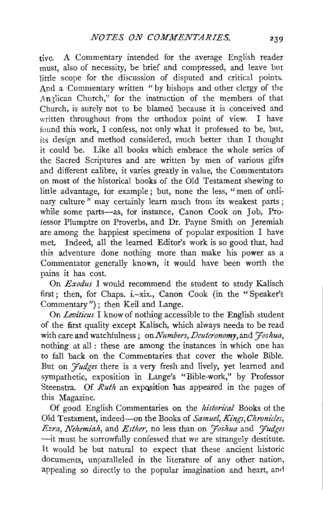tive. A Commentary intended for the average English reader must, also of necessity, be brief and compressed, and leave but little scope for the discussion of disputed and critical points. And a Commentary written "by bishops and other clergy of the Anglican Church," for the instruction of the members of that Church, is surely not to be blamed because it is conceived and written throughout from the orthodox point of view. I have found this work, I confess, not only what it professed to be, but, its design and method considered, much better than I thought it could be. Like all books which embrace the whole series of the Sacred Scriptures and are written by men of various gifts and different calibre, it varies greatly in value, the Commentators on most of the historical books of the Old Testament shewing to little advantage, for example; but, none the less, "men of ordinary culture" may certainly learn much from its weakest parts; while some parts-as, for instance, Canon Cook on Job, Professor Plumptre on Proverbs, and Dr. Payne Smith on Jeremiah are among the happiest specimens of popular exposition I have met. Indeed, all the learned Editor's work is so good that, had this adventure done nothing more than make his power as a Commentator generally known, it would have been worth the pains it has cost.

On *Exodus* I would recommend the student to study Kalisch first; then, for Chaps. i.-xix., Canon Cook (in the "Speaker's Commentary") ; then Keil and Lange.

On *Leviticus* I know of nothing accessible to the English student of the first quality except Kalisch, which always needs to be read with care and watchfulness; on *Numbers, Deuteronomy*, and *Joshua*, nothing at all : these are among the instances in which one has to fall back on the Commentaries that cover the whole Bible. But on *Fudges* there is a very fresh and lively, vet learned and sympathetic, exposition in Lange's "Bible-work," by Professor Steenstra. Of *Ruth* an exposition has appeared in the pages of this Magazine.

Of good English Commentaries on the *historical* Books of the Old Testament, indeed-on the Books of *Samuel, Kings, Chronicles*, *Ezra, Nehemiah,* and *Esther,* no less than on *'Joshua* and *'Judges*  -it must be sorrowfully confessed that we are strangely destitute. It would be but natural to expect that these ancient historic documents, unparalleled in the literature of any other nation, appealing so directly to the popular imagination and heart, and